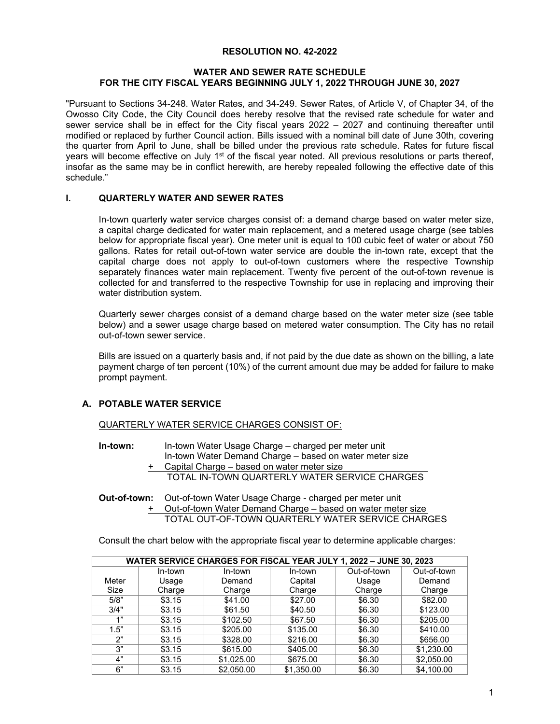# **RESOLUTION NO. 42-2022**

## **WATER AND SEWER RATE SCHEDULE FOR THE CITY FISCAL YEARS BEGINNING JULY 1, 2022 THROUGH JUNE 30, 2027**

"Pursuant to Sections 34-248. Water Rates, and 34-249. Sewer Rates, of Article V, of Chapter 34, of the Owosso City Code, the City Council does hereby resolve that the revised rate schedule for water and sewer service shall be in effect for the City fiscal years 2022 – 2027 and continuing thereafter until modified or replaced by further Council action. Bills issued with a nominal bill date of June 30th, covering the quarter from April to June, shall be billed under the previous rate schedule. Rates for future fiscal years will become effective on July 1<sup>st</sup> of the fiscal year noted. All previous resolutions or parts thereof, insofar as the same may be in conflict herewith, are hereby repealed following the effective date of this schedule."

# **I. QUARTERLY WATER AND SEWER RATES**

In-town quarterly water service charges consist of: a demand charge based on water meter size, a capital charge dedicated for water main replacement, and a metered usage charge (see tables below for appropriate fiscal year). One meter unit is equal to 100 cubic feet of water or about 750 gallons. Rates for retail out-of-town water service are double the in-town rate, except that the capital charge does not apply to out-of-town customers where the respective Township separately finances water main replacement. Twenty five percent of the out-of-town revenue is collected for and transferred to the respective Township for use in replacing and improving their water distribution system.

Quarterly sewer charges consist of a demand charge based on the water meter size (see table below) and a sewer usage charge based on metered water consumption. The City has no retail out-of-town sewer service.

Bills are issued on a quarterly basis and, if not paid by the due date as shown on the billing, a late payment charge of ten percent (10%) of the current amount due may be added for failure to make prompt payment.

# **A. POTABLE WATER SERVICE**

QUARTERLY WATER SERVICE CHARGES CONSIST OF:

- **In-town:** In-town Water Usage Charge charged per meter unit In-town Water Demand Charge – based on water meter size
	- + Capital Charge based on water meter size TOTAL IN-TOWN QUARTERLY WATER SERVICE CHARGES
- **Out-of-town:** Out-of-town Water Usage Charge charged per meter unit + Out-of-town Water Demand Charge – based on water meter size TOTAL OUT-OF-TOWN QUARTERLY WATER SERVICE CHARGES

Consult the chart below with the appropriate fiscal year to determine applicable charges:

| WATER SERVICE CHARGES FOR FISCAL YEAR JULY 1, 2022 - JUNE 30, 2023 |         |            |            |             |             |  |
|--------------------------------------------------------------------|---------|------------|------------|-------------|-------------|--|
|                                                                    | In-town | In-town    | In-town    | Out-of-town | Out-of-town |  |
| Meter                                                              | Usage   | Demand     | Capital    | Usage       | Demand      |  |
| Size                                                               | Charge  | Charge     | Charge     | Charge      | Charge      |  |
| 5/8"                                                               | \$3.15  | \$41.00    | \$27.00    | \$6.30      | \$82.00     |  |
| 3/4"                                                               | \$3.15  | \$61.50    | \$40.50    | \$6.30      | \$123.00    |  |
| 1"                                                                 | \$3.15  | \$102.50   | \$67.50    | \$6.30      | \$205.00    |  |
| 1.5"                                                               | \$3.15  | \$205.00   | \$135.00   | \$6.30      | \$410.00    |  |
| ን"                                                                 | \$3.15  | \$328.00   | \$216.00   | \$6.30      | \$656.00    |  |
| 3"                                                                 | \$3.15  | \$615.00   | \$405.00   | \$6.30      | \$1,230.00  |  |
| 4"                                                                 | \$3.15  | \$1,025.00 | \$675.00   | \$6.30      | \$2,050.00  |  |
| 6"                                                                 | \$3.15  | \$2,050,00 | \$1.350.00 | \$6.30      | \$4,100.00  |  |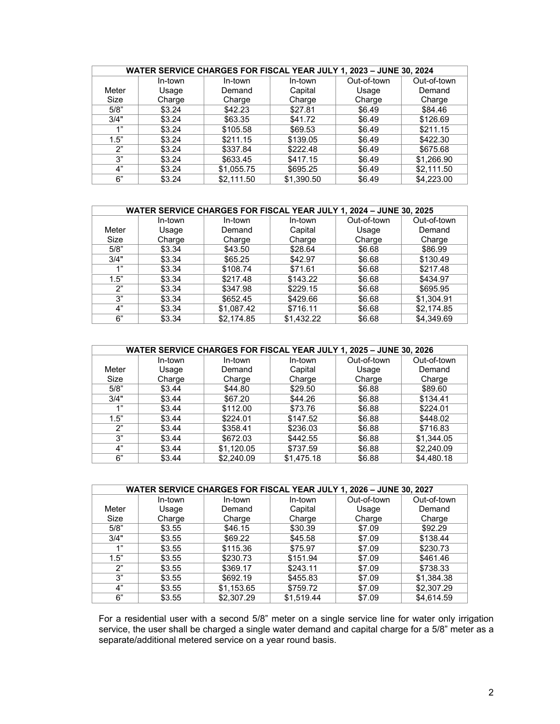|       | WATER SERVICE CHARGES FOR FISCAL YEAR JULY 1, 2023 - JUNE 30, 2024 |            |            |             |             |  |
|-------|--------------------------------------------------------------------|------------|------------|-------------|-------------|--|
|       | In-town                                                            | In-town    | In-town    | Out-of-town | Out-of-town |  |
| Meter | Usage                                                              | Demand     | Capital    | Usage       | Demand      |  |
| Size  | Charge                                                             | Charge     | Charge     | Charge      | Charge      |  |
| 5/8"  | \$3.24                                                             | \$42.23    | \$27.81    | \$6.49      | \$84.46     |  |
| 3/4"  | \$3.24                                                             | \$63.35    | \$41.72    | \$6.49      | \$126.69    |  |
| 1"    | \$3.24                                                             | \$105.58   | \$69.53    | \$6.49      | \$211.15    |  |
| 1.5"  | \$3.24                                                             | \$211.15   | \$139.05   | \$6.49      | \$422.30    |  |
| 2"    | \$3.24                                                             | \$337.84   | \$222.48   | \$6.49      | \$675.68    |  |
| 3"    | \$3.24                                                             | \$633.45   | \$417.15   | \$6.49      | \$1,266.90  |  |
| 4"    | \$3.24                                                             | \$1,055.75 | \$695.25   | \$6.49      | \$2,111.50  |  |
| 6"    | \$3.24                                                             | \$2.111.50 | \$1,390.50 | \$6.49      | \$4,223.00  |  |

|       | WATER SERVICE CHARGES FOR FISCAL YEAR JULY 1, 2024 - JUNE 30, 2025 |            |            |             |             |  |  |
|-------|--------------------------------------------------------------------|------------|------------|-------------|-------------|--|--|
|       | In-town                                                            | In-town    | In-town    | Out-of-town | Out-of-town |  |  |
| Meter | Usage                                                              | Demand     | Capital    | Usage       | Demand      |  |  |
| Size  | Charge                                                             | Charge     | Charge     | Charge      | Charge      |  |  |
| 5/8"  | \$3.34                                                             | \$43.50    | \$28.64    | \$6.68      | \$86.99     |  |  |
| 3/4"  | \$3.34                                                             | \$65.25    | \$42.97    | \$6.68      | \$130.49    |  |  |
| 4"    | \$3.34                                                             | \$108.74   | \$71.61    | \$6.68      | \$217.48    |  |  |
| 1.5"  | \$3.34                                                             | \$217.48   | \$143.22   | \$6.68      | \$434.97    |  |  |
| ን"    | \$3.34                                                             | \$347.98   | \$229.15   | \$6.68      | \$695.95    |  |  |
| 3"    | \$3.34                                                             | \$652.45   | \$429.66   | \$6.68      | \$1,304.91  |  |  |
| 4"    | \$3.34                                                             | \$1,087.42 | \$716.11   | \$6.68      | \$2,174.85  |  |  |
| 6"    | \$3.34                                                             | \$2.174.85 | \$1.432.22 | \$6.68      | \$4,349.69  |  |  |

|       | WATER SERVICE CHARGES FOR FISCAL YEAR JULY 1, 2025 - JUNE 30, 2026 |            |            |             |             |  |  |
|-------|--------------------------------------------------------------------|------------|------------|-------------|-------------|--|--|
|       | In-town                                                            | In-town    | In-town    | Out-of-town | Out-of-town |  |  |
| Meter | Usage                                                              | Demand     | Capital    | Usage       | Demand      |  |  |
| Size  | Charge                                                             | Charge     | Charge     | Charge      | Charge      |  |  |
| 5/8"  | \$3.44                                                             | \$44.80    | \$29.50    | \$6.88      | \$89.60     |  |  |
| 3/4"  | \$3.44                                                             | \$67.20    | \$44.26    | \$6.88      | \$134.41    |  |  |
| 1"    | \$3.44                                                             | \$112.00   | \$73.76    | \$6.88      | \$224.01    |  |  |
| 1.5"  | \$3.44                                                             | \$224.01   | \$147.52   | \$6.88      | \$448.02    |  |  |
| 2"    | \$3.44                                                             | \$358.41   | \$236.03   | \$6.88      | \$716.83    |  |  |
| 3"    | \$3.44                                                             | \$672.03   | \$442.55   | \$6.88      | \$1,344.05  |  |  |
| 4"    | \$3.44                                                             | \$1,120.05 | \$737.59   | \$6.88      | \$2,240.09  |  |  |
| 6"    | \$3.44                                                             | \$2,240.09 | \$1,475.18 | \$6.88      | \$4,480.18  |  |  |

|       | WATER SERVICE CHARGES FOR FISCAL YEAR JULY 1, 2026 - JUNE 30, 2027 |            |            |             |             |  |  |
|-------|--------------------------------------------------------------------|------------|------------|-------------|-------------|--|--|
|       | In-town                                                            | In-town    | In-town    | Out-of-town | Out-of-town |  |  |
| Meter | Usage                                                              | Demand     | Capital    | Usage       | Demand      |  |  |
| Size  | Charge                                                             | Charge     | Charge     | Charge      | Charge      |  |  |
| 5/8"  | \$3.55                                                             | \$46.15    | \$30.39    | \$7.09      | \$92.29     |  |  |
| 3/4"  | \$3.55                                                             | \$69.22    | \$45.58    | \$7.09      | \$138.44    |  |  |
| 4"    | \$3.55                                                             | \$115.36   | \$75.97    | \$7.09      | \$230.73    |  |  |
| 1.5"  | \$3.55                                                             | \$230.73   | \$151.94   | \$7.09      | \$461.46    |  |  |
| 2"    | \$3.55                                                             | \$369.17   | \$243.11   | \$7.09      | \$738.33    |  |  |
| 3"    | \$3.55                                                             | \$692.19   | \$455.83   | \$7.09      | \$1,384.38  |  |  |
| 4"    | \$3.55                                                             | \$1,153.65 | \$759.72   | \$7.09      | \$2,307.29  |  |  |
| 6"    | \$3.55                                                             | \$2.307.29 | \$1.519.44 | \$7.09      | \$4.614.59  |  |  |

For a residential user with a second 5/8" meter on a single service line for water only irrigation service, the user shall be charged a single water demand and capital charge for a 5/8" meter as a separate/additional metered service on a year round basis.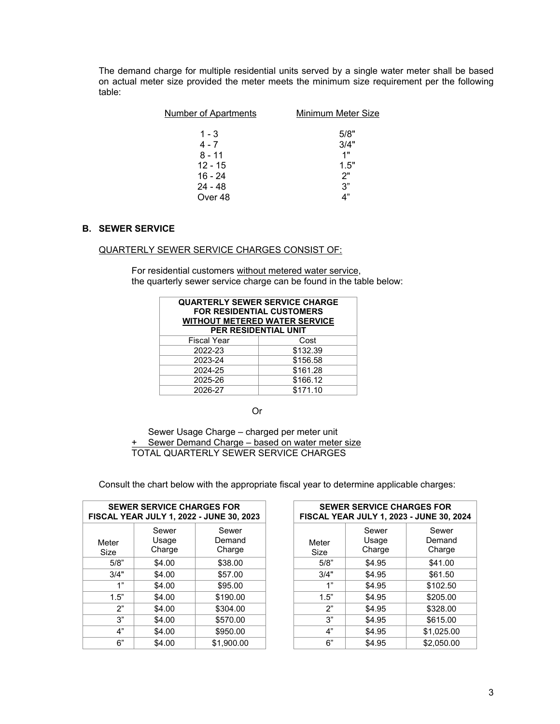The demand charge for multiple residential units served by a single water meter shall be based on actual meter size provided the meter meets the minimum size requirement per the following table:

| Number of Apartments | Minimum Meter Size |
|----------------------|--------------------|
| $1 - 3$              | 5/8"               |
| $4 - 7$              | 3/4"               |
| $8 - 11$             | 1"                 |
| $12 - 15$            | 1.5"               |
| $16 - 24$            | 2"                 |
| $24 - 48$            | 3"                 |
| Over 48              |                    |

# **B. SEWER SERVICE**

#### QUARTERLY SEWER SERVICE CHARGES CONSIST OF:

For residential customers without metered water service, the quarterly sewer service charge can be found in the table below:

| <b>QUARTERLY SEWER SERVICE CHARGE</b><br>FOR RESIDENTIAL CUSTOMERS<br><b>WITHOUT METERED WATER SERVICE</b><br>PER RESIDENTIAL UNIT |          |  |  |
|------------------------------------------------------------------------------------------------------------------------------------|----------|--|--|
| <b>Fiscal Year</b>                                                                                                                 | Cost     |  |  |
| 2022-23                                                                                                                            | \$132.39 |  |  |
| 2023-24                                                                                                                            | \$156.58 |  |  |
| 2024-25                                                                                                                            | \$161.28 |  |  |
| \$166.12<br>2025-26                                                                                                                |          |  |  |
| 2026-27                                                                                                                            | \$171.10 |  |  |

Or

 Sewer Usage Charge – charged per meter unit Sewer Demand Charge – based on water meter size TOTAL QUARTERLY SEWER SERVICE CHARGES

**SEWER SERVICE CHARGES FOR FISCAL YEAR JULY 1, 2022 - JUNE 30, 2023**  Meter Size Sewer Usage Charge Sewer Demand Charge

| <b>SEWER SERVICE CHARGES FOR</b><br><b>AL YEAR JULY 1, 2022 - JUNE 30, 2023</b> |                          |                           |               | <b>SEWER SERVICE CHARGES FOR</b> | FISCAL YEAR JULY 1, 2023 - JUNE 30, 2024 |
|---------------------------------------------------------------------------------|--------------------------|---------------------------|---------------|----------------------------------|------------------------------------------|
| ter<br>ze.                                                                      | Sewer<br>Usage<br>Charge | Sewer<br>Demand<br>Charge | Meter<br>Size | Sewer<br>Usage<br>Charge         | Sewer<br>Demand<br>Charge                |
| 5/8"                                                                            | \$4.00                   | \$38.00                   | 5/8"          | \$4.95                           | \$41.00                                  |
| 3/4"                                                                            | \$4.00                   | \$57.00                   | 3/4"          | \$4.95                           | \$61.50                                  |
| 1"                                                                              | \$4.00                   | \$95.00                   | 1"            | \$4.95                           | \$102.50                                 |
| 1.5"                                                                            | \$4.00                   | \$190.00                  | 1.5"          | \$4.95                           | \$205.00                                 |
| 2"                                                                              | \$4.00                   | \$304.00                  | 2"            | \$4.95                           | \$328.00                                 |
| 3"                                                                              | \$4.00                   | \$570.00                  | 3"            | \$4.95                           | \$615.00                                 |
| 4"                                                                              | \$4.00                   | \$950.00                  | 4"            | \$4.95                           | \$1,025.00                               |
| 6"                                                                              | \$4.00                   | \$1,900.00                | 6"            | \$4.95                           | \$2,050.00                               |
|                                                                                 |                          |                           |               |                                  |                                          |

Consult the chart below with the appropriate fiscal year to determine applicable charges: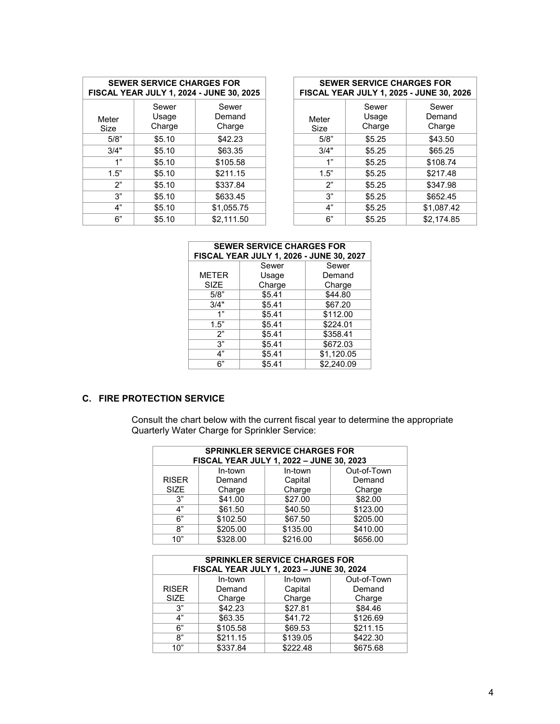| <b>SEWER SERVICE CHARGES FOR</b><br>FISCAL YEAR JULY 1, 2024 - JUNE 30, 2025 |                          |                           |  |  |  |
|------------------------------------------------------------------------------|--------------------------|---------------------------|--|--|--|
| Meter<br>Size                                                                | Sewer<br>Usage<br>Charge | Sewer<br>Demand<br>Charge |  |  |  |
| 5/8"                                                                         | \$5.10                   | \$42.23                   |  |  |  |
| 3/4"                                                                         | \$5.10                   | \$63.35                   |  |  |  |
| 1"                                                                           | \$5.10                   | \$105.58                  |  |  |  |
| 1.5"                                                                         | \$5.10                   | \$211.15                  |  |  |  |
| 2"                                                                           | \$5.10                   | \$337.84                  |  |  |  |
| 3"                                                                           | \$5.10                   | \$633.45                  |  |  |  |
| 4"                                                                           | \$5.10                   | \$1,055.75                |  |  |  |
| 6"                                                                           | \$5.10                   | \$2.111.50                |  |  |  |

| <b>SEWER SERVICE CHARGES FOR</b><br>AL YEAR JULY 1, 2024 - JUNE 30, 2025 |                          |                           |               | <b>SEWER SERVICE CHARGES FOR</b> | FISCAL YEAR JULY 1, 2025 - JUNE 30, 2026 |
|--------------------------------------------------------------------------|--------------------------|---------------------------|---------------|----------------------------------|------------------------------------------|
| ter:<br>ze                                                               | Sewer<br>Usage<br>Charge | Sewer<br>Demand<br>Charge | Meter<br>Size | Sewer<br>Usage<br>Charge         | Sewer<br>Demand<br>Charge                |
| 5/8"                                                                     | \$5.10                   | \$42.23                   | 5/8"          | \$5.25                           | \$43.50                                  |
| 3/4"                                                                     | \$5.10                   | \$63.35                   | 3/4"          | \$5.25                           | \$65.25                                  |
| 1"                                                                       | \$5.10                   | \$105.58                  | 4"            | \$5.25                           | \$108.74                                 |
| 1.5"                                                                     | \$5.10                   | \$211.15                  | 1.5"          | \$5.25                           | \$217.48                                 |
| 2"                                                                       | \$5.10                   | \$337.84                  | 2"            | \$5.25                           | \$347.98                                 |
| 3"                                                                       | \$5.10                   | \$633.45                  | 3"            | \$5.25                           | \$652.45                                 |
| 4"                                                                       | \$5.10                   | \$1,055.75                | 4"            | \$5.25                           | \$1,087.42                               |
| 6"                                                                       | \$5.10                   | \$2.111.50                | 6"            | \$5.25                           | \$2.174.85                               |

| <b>SEWER SERVICE CHARGES FOR</b><br>FISCAL YEAR JULY 1, 2026 - JUNE 30, 2027 |        |            |  |  |  |
|------------------------------------------------------------------------------|--------|------------|--|--|--|
|                                                                              | Sewer  | Sewer      |  |  |  |
| <b>METER</b>                                                                 | Usage  | Demand     |  |  |  |
| SIZE                                                                         | Charge | Charge     |  |  |  |
| 5/8"                                                                         | \$5.41 | \$44.80    |  |  |  |
| 3/4"                                                                         | \$5.41 | \$67.20    |  |  |  |
| 1"                                                                           | \$5.41 | \$112.00   |  |  |  |
| 1.5"                                                                         | \$5.41 | \$224.01   |  |  |  |
| 2"                                                                           | \$5.41 | \$358.41   |  |  |  |
| 3"                                                                           | \$5.41 | \$672.03   |  |  |  |
| 4"                                                                           | \$5.41 | \$1,120.05 |  |  |  |
| 6"                                                                           | \$5.41 | \$2.240.09 |  |  |  |

# **C. FIRE PROTECTION SERVICE**

Consult the chart below with the current fiscal year to determine the appropriate Quarterly Water Charge for Sprinkler Service:

| <b>SPRINKLER SERVICE CHARGES FOR</b><br>FISCAL YEAR JULY 1, 2022 - JUNE 30, 2023 |          |          |             |  |  |  |
|----------------------------------------------------------------------------------|----------|----------|-------------|--|--|--|
|                                                                                  | In-town  | In-town  | Out-of-Town |  |  |  |
| <b>RISER</b>                                                                     | Demand   | Capital  | Demand      |  |  |  |
| <b>SIZE</b>                                                                      | Charge   | Charge   | Charge      |  |  |  |
| 3"                                                                               | \$41.00  | \$27.00  | \$82.00     |  |  |  |
| 4"                                                                               | \$61.50  | \$40.50  | \$123.00    |  |  |  |
| 6"                                                                               | \$102.50 | \$67.50  | \$205.00    |  |  |  |
| 8"                                                                               | \$205.00 | \$135.00 | \$410.00    |  |  |  |
| 10"                                                                              | \$328.00 | \$216.00 | \$656.00    |  |  |  |

| <b>SPRINKLER SERVICE CHARGES FOR</b><br>FISCAL YEAR JULY 1, 2023 - JUNE 30, 2024 |          |          |             |
|----------------------------------------------------------------------------------|----------|----------|-------------|
|                                                                                  | In-town  | In-town  | Out-of-Town |
| <b>RISER</b>                                                                     | Demand   | Capital  | Demand      |
| <b>SIZE</b>                                                                      | Charge   | Charge   | Charge      |
| 3"                                                                               | \$42.23  | \$27.81  | \$84.46     |
| 4"                                                                               | \$63.35  | \$41.72  | \$126.69    |
| 6"                                                                               | \$105.58 | \$69.53  | \$211.15    |
| 8"                                                                               | \$211.15 | \$139.05 | \$422.30    |
| 10"                                                                              | \$337.84 | \$222.48 | \$675.68    |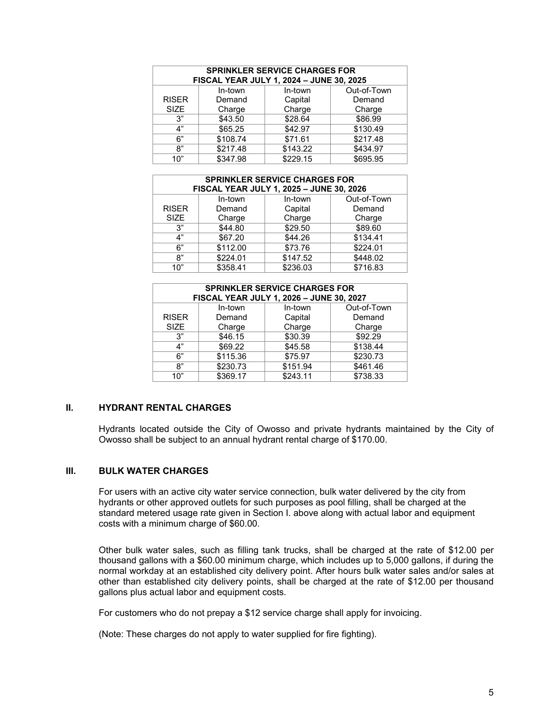| <b>SPRINKLER SERVICE CHARGES FOR</b><br>FISCAL YEAR JULY 1, 2024 - JUNE 30, 2025 |          |          |             |
|----------------------------------------------------------------------------------|----------|----------|-------------|
|                                                                                  | In-town  | In-town  | Out-of-Town |
| <b>RISER</b>                                                                     | Demand   | Capital  | Demand      |
| <b>SIZE</b>                                                                      | Charge   | Charge   | Charge      |
| 3"                                                                               | \$43.50  | \$28.64  | \$86.99     |
| 4"                                                                               | \$65.25  | \$42.97  | \$130.49    |
| 6"                                                                               | \$108.74 | \$71.61  | \$217.48    |
| 8"                                                                               | \$217.48 | \$143.22 | \$434.97    |
| 10"                                                                              | \$347.98 | \$229.15 | \$695.95    |

| <b>SPRINKLER SERVICE CHARGES FOR</b><br>FISCAL YEAR JULY 1, 2025 - JUNE 30, 2026 |          |          |             |
|----------------------------------------------------------------------------------|----------|----------|-------------|
|                                                                                  | In-town  | In-town  | Out-of-Town |
| <b>RISER</b>                                                                     | Demand   | Capital  | Demand      |
| <b>SIZE</b>                                                                      | Charge   | Charge   | Charge      |
| 3"                                                                               | \$44.80  | \$29.50  | \$89.60     |
| 4"                                                                               | \$67.20  | \$44.26  | \$134.41    |
| 6"                                                                               | \$112.00 | \$73.76  | \$224.01    |
| 8"                                                                               | \$224.01 | \$147.52 | \$448.02    |
| 10"                                                                              | \$358.41 | \$236.03 | \$716.83    |

| <b>SPRINKLER SERVICE CHARGES FOR</b><br>FISCAL YEAR JULY 1, 2026 - JUNE 30, 2027 |          |          |             |  |
|----------------------------------------------------------------------------------|----------|----------|-------------|--|
|                                                                                  | In-town  | In-town  | Out-of-Town |  |
| <b>RISER</b>                                                                     | Demand   | Capital  | Demand      |  |
| <b>SIZE</b>                                                                      | Charge   | Charge   | Charge      |  |
| 3"                                                                               | \$46.15  | \$30.39  | \$92.29     |  |
| 4"                                                                               | \$69.22  | \$45.58  | \$138.44    |  |
| 6"                                                                               | \$115.36 | \$75.97  | \$230.73    |  |
| 8"                                                                               | \$230.73 | \$151.94 | \$461.46    |  |
| 10"                                                                              | \$369.17 | \$243.11 | \$738.33    |  |

## **II. HYDRANT RENTAL CHARGES**

Hydrants located outside the City of Owosso and private hydrants maintained by the City of Owosso shall be subject to an annual hydrant rental charge of \$170.00.

### **III. BULK WATER CHARGES**

For users with an active city water service connection, bulk water delivered by the city from hydrants or other approved outlets for such purposes as pool filling, shall be charged at the standard metered usage rate given in Section I. above along with actual labor and equipment costs with a minimum charge of \$60.00.

Other bulk water sales, such as filling tank trucks, shall be charged at the rate of \$12.00 per thousand gallons with a \$60.00 minimum charge, which includes up to 5,000 gallons, if during the normal workday at an established city delivery point. After hours bulk water sales and/or sales at other than established city delivery points, shall be charged at the rate of \$12.00 per thousand gallons plus actual labor and equipment costs.

For customers who do not prepay a \$12 service charge shall apply for invoicing.

(Note: These charges do not apply to water supplied for fire fighting).